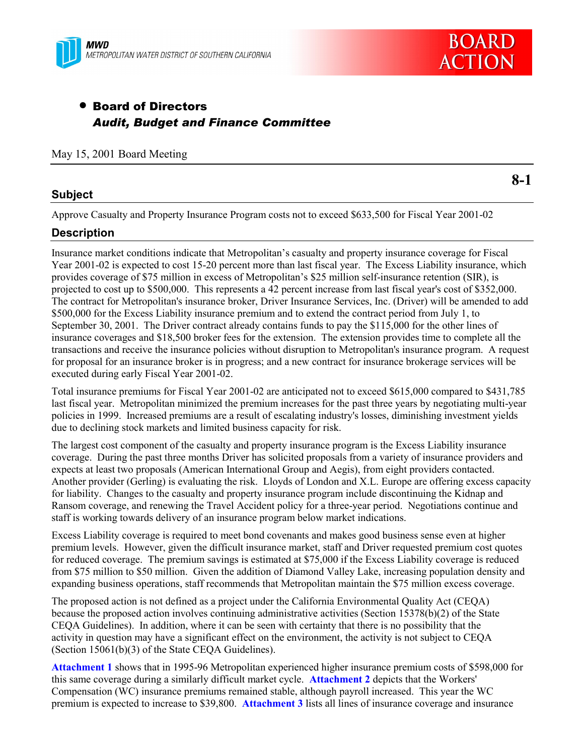

# • Board of Directors *Audit, Budget and Finance Committee*

#### May 15, 2001 Board Meeting

### **Subject**

**8-1**

Approve Casualty and Property Insurance Program costs not to exceed \$633,500 for Fiscal Year 2001-02

### **Description**

Insurance market conditions indicate that Metropolitan's casualty and property insurance coverage for Fiscal Year 2001-02 is expected to cost 15-20 percent more than last fiscal year. The Excess Liability insurance, which provides coverage of \$75 million in excess of Metropolitan's \$25 million self-insurance retention (SIR), is projected to cost up to \$500,000. This represents a 42 percent increase from last fiscal year's cost of \$352,000. The contract for Metropolitan's insurance broker, Driver Insurance Services, Inc. (Driver) will be amended to add \$500,000 for the Excess Liability insurance premium and to extend the contract period from July 1, to September 30, 2001. The Driver contract already contains funds to pay the \$115,000 for the other lines of insurance coverages and \$18,500 broker fees for the extension. The extension provides time to complete all the transactions and receive the insurance policies without disruption to Metropolitan's insurance program. A request for proposal for an insurance broker is in progress; and a new contract for insurance brokerage services will be executed during early Fiscal Year 2001-02.

Total insurance premiums for Fiscal Year 2001-02 are anticipated not to exceed \$615,000 compared to \$431,785 last fiscal year. Metropolitan minimized the premium increases for the past three years by negotiating multi-year policies in 1999. Increased premiums are a result of escalating industry's losses, diminishing investment yields due to declining stock markets and limited business capacity for risk.

The largest cost component of the casualty and property insurance program is the Excess Liability insurance coverage. During the past three months Driver has solicited proposals from a variety of insurance providers and expects at least two proposals (American International Group and Aegis), from eight providers contacted. Another provider (Gerling) is evaluating the risk. Lloyds of London and X.L. Europe are offering excess capacity for liability. Changes to the casualty and property insurance program include discontinuing the Kidnap and Ransom coverage, and renewing the Travel Accident policy for a three-year period. Negotiations continue and staff is working towards delivery of an insurance program below market indications.

Excess Liability coverage is required to meet bond covenants and makes good business sense even at higher premium levels. However, given the difficult insurance market, staff and Driver requested premium cost quotes for reduced coverage. The premium savings is estimated at \$75,000 if the Excess Liability coverage is reduced from \$75 million to \$50 million. Given the addition of Diamond Valley Lake, increasing population density and expanding business operations, staff recommends that Metropolitan maintain the \$75 million excess coverage.

The proposed action is not defined as a project under the California Environmental Quality Act (CEQA) because the proposed action involves continuing administrative activities (Section 15378(b)(2) of the State CEQA Guidelines). In addition, where it can be seen with certainty that there is no possibility that the activity in question may have a significant effect on the environment, the activity is not subject to CEQA (Section 15061(b)(3) of the State CEQA Guidelines).

**Attachment 1** shows that in 1995-96 Metropolitan experienced higher insurance premium costs of \$598,000 for this same coverage during a similarly difficult market cycle. **Attachment 2** depicts that the Workers' Compensation (WC) insurance premiums remained stable, although payroll increased. This year the WC premium is expected to increase to \$39,800. **Attachment 3** lists all lines of insurance coverage and insurance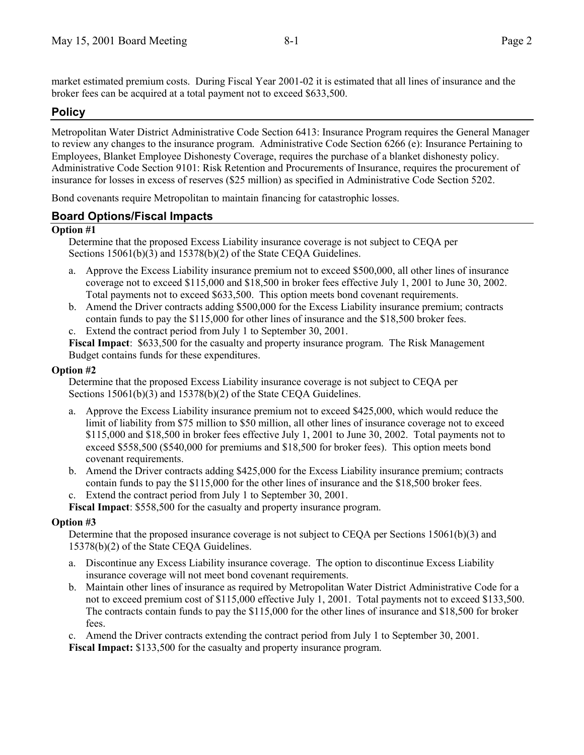market estimated premium costs. During Fiscal Year 2001-02 it is estimated that all lines of insurance and the broker fees can be acquired at a total payment not to exceed \$633,500.

## **Policy**

Metropolitan Water District Administrative Code Section 6413: Insurance Program requires the General Manager to review any changes to the insurance program. Administrative Code Section 6266 (e): Insurance Pertaining to Employees, Blanket Employee Dishonesty Coverage, requires the purchase of a blanket dishonesty policy. Administrative Code Section 9101: Risk Retention and Procurements of Insurance, requires the procurement of insurance for losses in excess of reserves (\$25 million) as specified in Administrative Code Section 5202.

Bond covenants require Metropolitan to maintain financing for catastrophic losses.

### **Board Options/Fiscal Impacts**

#### **Option #1**

Determine that the proposed Excess Liability insurance coverage is not subject to CEQA per Sections 15061(b)(3) and 15378(b)(2) of the State CEQA Guidelines.

- a. Approve the Excess Liability insurance premium not to exceed \$500,000, all other lines of insurance coverage not to exceed \$115,000 and \$18,500 in broker fees effective July 1, 2001 to June 30, 2002. Total payments not to exceed \$633,500. This option meets bond covenant requirements.
- b. Amend the Driver contracts adding \$500,000 for the Excess Liability insurance premium; contracts contain funds to pay the \$115,000 for other lines of insurance and the \$18,500 broker fees. c. Extend the contract period from July 1 to September 30, 2001.

**Fiscal Impact**: \$633,500 for the casualty and property insurance program. The Risk Management Budget contains funds for these expenditures.

#### **Option #2**

Determine that the proposed Excess Liability insurance coverage is not subject to CEQA per Sections 15061(b)(3) and 15378(b)(2) of the State CEQA Guidelines.

- a. Approve the Excess Liability insurance premium not to exceed \$425,000, which would reduce the limit of liability from \$75 million to \$50 million, all other lines of insurance coverage not to exceed \$115,000 and \$18,500 in broker fees effective July 1, 2001 to June 30, 2002. Total payments not to exceed \$558,500 (\$540,000 for premiums and \$18,500 for broker fees). This option meets bond covenant requirements.
- b. Amend the Driver contracts adding \$425,000 for the Excess Liability insurance premium; contracts contain funds to pay the \$115,000 for the other lines of insurance and the \$18,500 broker fees.
- c. Extend the contract period from July 1 to September 30, 2001.

**Fiscal Impact**: \$558,500 for the casualty and property insurance program.

#### **Option #3**

Determine that the proposed insurance coverage is not subject to CEQA per Sections 15061(b)(3) and 15378(b)(2) of the State CEQA Guidelines.

- a. Discontinue any Excess Liability insurance coverage. The option to discontinue Excess Liability insurance coverage will not meet bond covenant requirements.
- b. Maintain other lines of insurance as required by Metropolitan Water District Administrative Code for a not to exceed premium cost of \$115,000 effective July 1, 2001. Total payments not to exceed \$133,500. The contracts contain funds to pay the \$115,000 for the other lines of insurance and \$18,500 for broker fees.

c. Amend the Driver contracts extending the contract period from July 1 to September 30, 2001.

**Fiscal Impact:** \$133,500 for the casualty and property insurance program.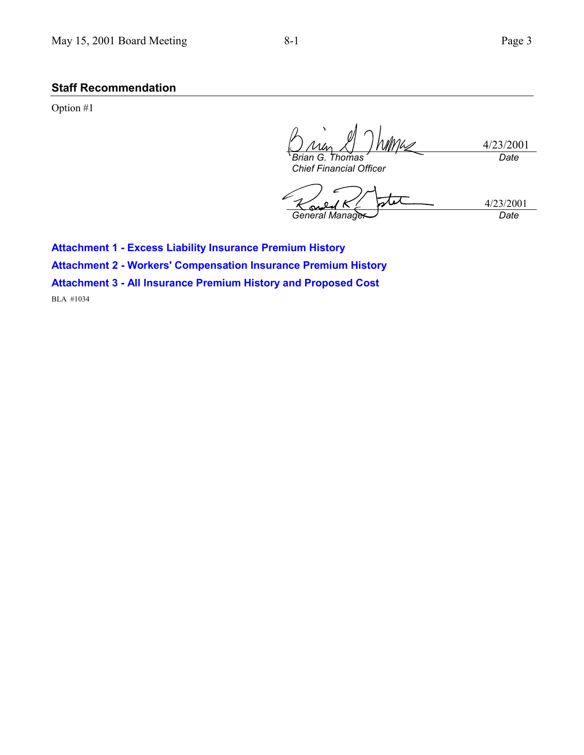## **Staff Recommendation**

Option #1

4/23/2001 *Brian G. Thomas Date*

*Chief Financial Officer*

4/23/2001 *General Manager Date*

**Attachment 1 - Excess Liability Insurance Premium History**

**Attachment 2 - Workers' Compensation Insurance Premium History**

**Attachment 3 - All Insurance Premium History and Proposed Cost**

BLA #1034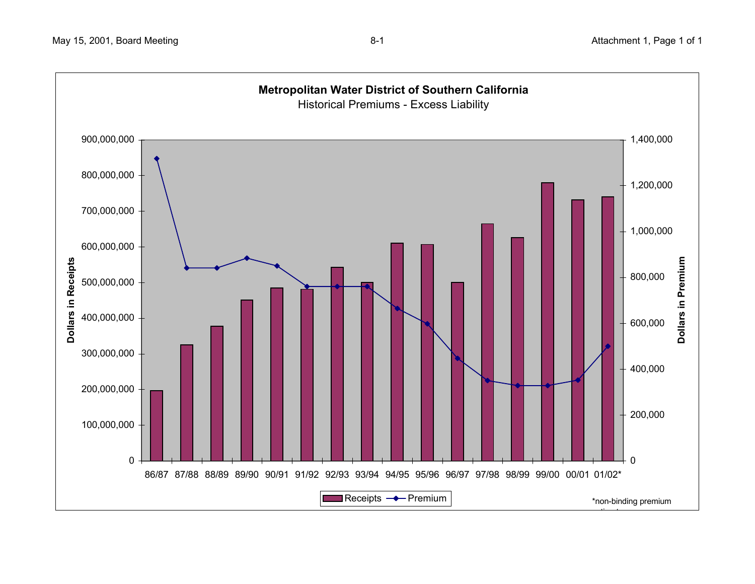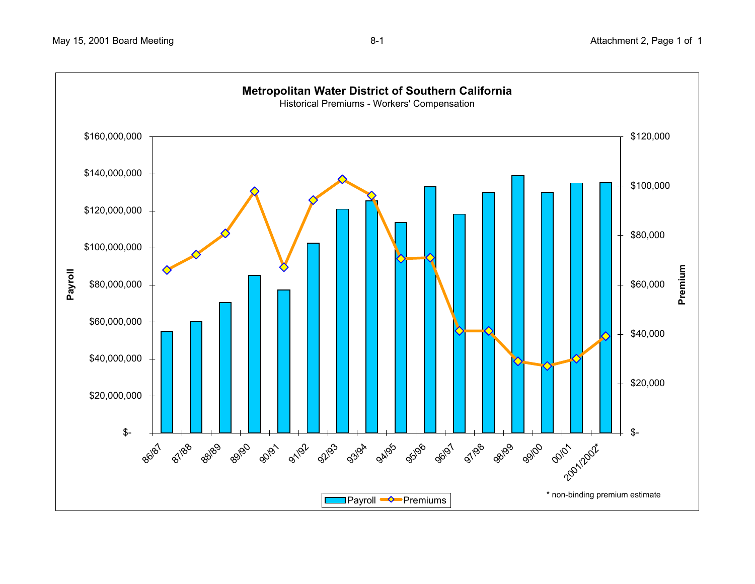